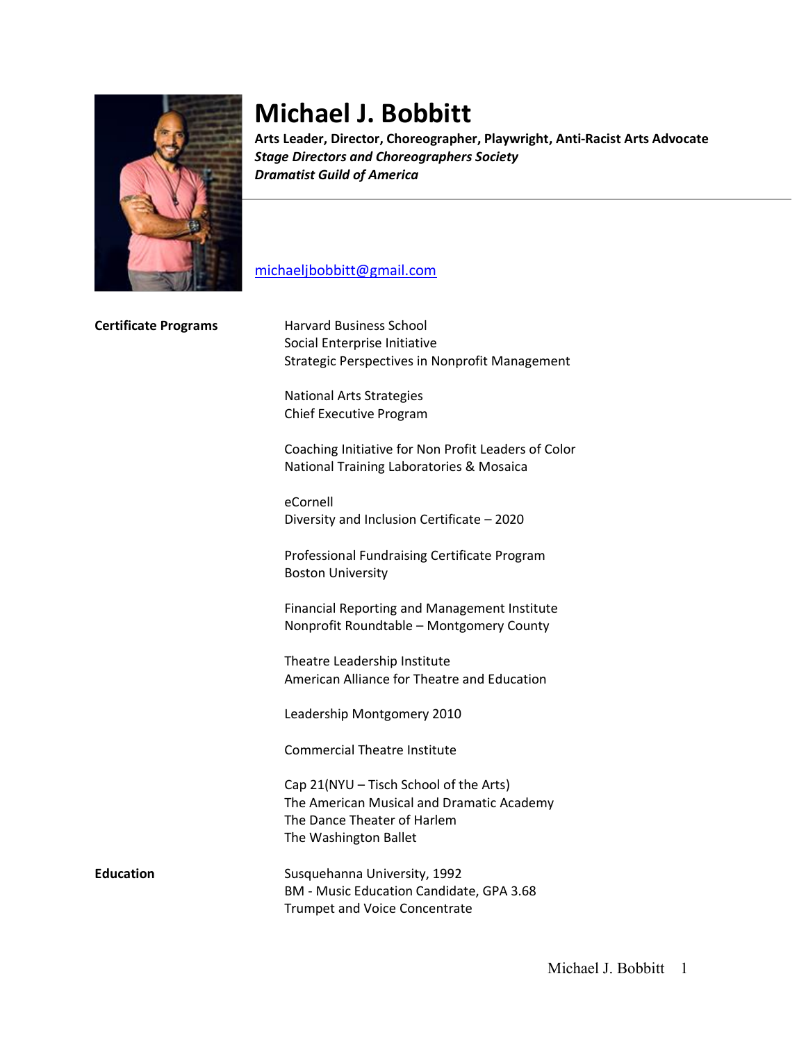

# **Michael J. Bobbitt**

**Arts Leader, Director, Choreographer, Playwright, Anti-Racist Arts Advocate** *Stage Directors and Choreographers Society Dramatist Guild of America*

# michaeljbobbitt@gmail.com

| <b>Certificate Programs</b> | <b>Harvard Business School</b><br>Social Enterprise Initiative                                                                              |
|-----------------------------|---------------------------------------------------------------------------------------------------------------------------------------------|
|                             | <b>Strategic Perspectives in Nonprofit Management</b>                                                                                       |
|                             | <b>National Arts Strategies</b><br>Chief Executive Program                                                                                  |
|                             | Coaching Initiative for Non Profit Leaders of Color<br>National Training Laboratories & Mosaica                                             |
|                             | eCornell<br>Diversity and Inclusion Certificate - 2020                                                                                      |
|                             | Professional Fundraising Certificate Program<br><b>Boston University</b>                                                                    |
|                             | Financial Reporting and Management Institute<br>Nonprofit Roundtable - Montgomery County                                                    |
|                             | Theatre Leadership Institute<br>American Alliance for Theatre and Education                                                                 |
|                             | Leadership Montgomery 2010                                                                                                                  |
|                             | <b>Commercial Theatre Institute</b>                                                                                                         |
|                             | Cap 21(NYU - Tisch School of the Arts)<br>The American Musical and Dramatic Academy<br>The Dance Theater of Harlem<br>The Washington Ballet |
| <b>Education</b>            | Susquehanna University, 1992<br>BM - Music Education Candidate, GPA 3.68                                                                    |

Trumpet and Voice Concentrate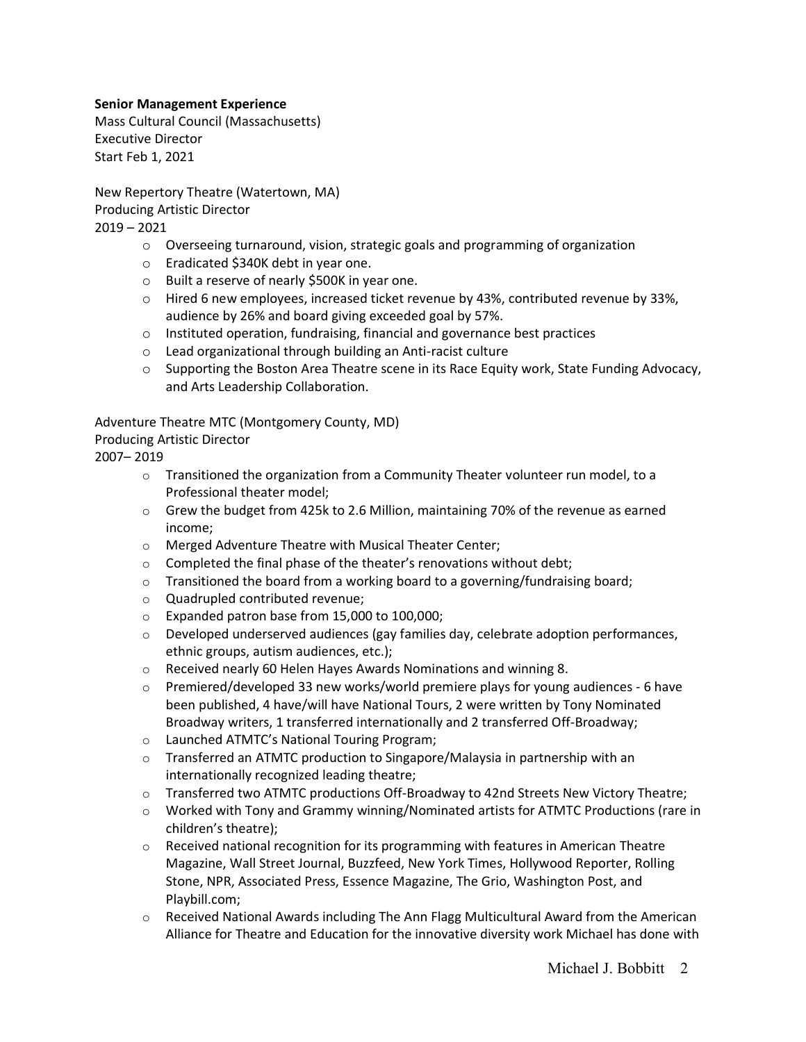## **Senior Management Experience**

Mass Cultural Council (Massachusetts) Executive Director Start Feb 1, 2021

New Repertory Theatre (Watertown, MA) Producing Artistic Director 2019 – 2021

- o Overseeing turnaround, vision, strategic goals and programming of organization
- o Eradicated \$340K debt in year one.
- o Built a reserve of nearly \$500K in year one.
- $\circ$  Hired 6 new employees, increased ticket revenue by 43%, contributed revenue by 33%, audience by 26% and board giving exceeded goal by 57%.
- o Instituted operation, fundraising, financial and governance best practices
- o Lead organizational through building an Anti-racist culture
- $\circ$  Supporting the Boston Area Theatre scene in its Race Equity work, State Funding Advocacy, and Arts Leadership Collaboration.

Adventure Theatre MTC (Montgomery County, MD)

#### Producing Artistic Director

2007– 2019

- $\circ$  Transitioned the organization from a Community Theater volunteer run model, to a Professional theater model;
- $\circ$  Grew the budget from 425k to 2.6 Million, maintaining 70% of the revenue as earned income;
- o Merged Adventure Theatre with Musical Theater Center;
- o Completed the final phase of the theater's renovations without debt;
- $\circ$  Transitioned the board from a working board to a governing/fundraising board;
- o Quadrupled contributed revenue;
- o Expanded patron base from 15,000 to 100,000;
- o Developed underserved audiences (gay families day, celebrate adoption performances, ethnic groups, autism audiences, etc.);
- o Received nearly 60 Helen Hayes Awards Nominations and winning 8.
- $\circ$  Premiered/developed 33 new works/world premiere plays for young audiences 6 have been published, 4 have/will have National Tours, 2 were written by Tony Nominated Broadway writers, 1 transferred internationally and 2 transferred Off-Broadway;
- o Launched ATMTC's National Touring Program;
- o Transferred an ATMTC production to Singapore/Malaysia in partnership with an internationally recognized leading theatre;
- $\circ$  Transferred two ATMTC productions Off-Broadway to 42nd Streets New Victory Theatre;
- o Worked with Tony and Grammy winning/Nominated artists for ATMTC Productions (rare in children's theatre);
- $\circ$  Received national recognition for its programming with features in American Theatre Magazine, Wall Street Journal, Buzzfeed, New York Times, Hollywood Reporter, Rolling Stone, NPR, Associated Press, Essence Magazine, The Grio, Washington Post, and Playbill.com;
- o Received National Awards including The Ann Flagg Multicultural Award from the American Alliance for Theatre and Education for the innovative diversity work Michael has done with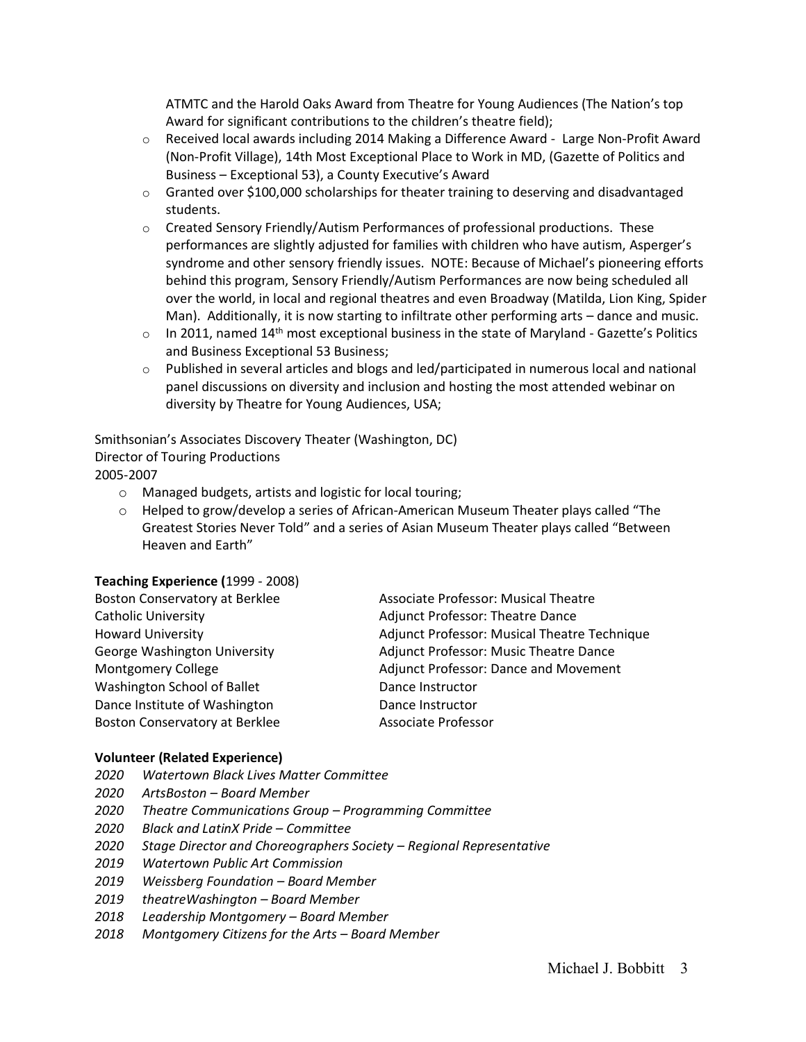ATMTC and the Harold Oaks Award from Theatre for Young Audiences (The Nation's top Award for significant contributions to the children's theatre field);

- o Received local awards including 2014 Making a Difference Award Large Non-Profit Award (Non-Profit Village), 14th Most Exceptional Place to Work in MD, (Gazette of Politics and Business – Exceptional 53), a County Executive's Award
- $\circ$  Granted over \$100,000 scholarships for theater training to deserving and disadvantaged students.
- $\circ$  Created Sensory Friendly/Autism Performances of professional productions. These performances are slightly adjusted for families with children who have autism, Asperger's syndrome and other sensory friendly issues. NOTE: Because of Michael's pioneering efforts behind this program, Sensory Friendly/Autism Performances are now being scheduled all over the world, in local and regional theatres and even Broadway (Matilda, Lion King, Spider Man). Additionally, it is now starting to infiltrate other performing arts – dance and music.
- $\circ$  In 2011, named 14<sup>th</sup> most exceptional business in the state of Maryland Gazette's Politics and Business Exceptional 53 Business;
- $\circ$  Published in several articles and blogs and led/participated in numerous local and national panel discussions on diversity and inclusion and hosting the most attended webinar on diversity by Theatre for Young Audiences, USA;

Smithsonian's Associates Discovery Theater (Washington, DC) Director of Touring Productions 2005-2007

- o Managed budgets, artists and logistic for local touring;
- $\circ$  Helped to grow/develop a series of African-American Museum Theater plays called "The Greatest Stories Never Told" and a series of Asian Museum Theater plays called "Between Heaven and Earth"

#### **Teaching Experience (**1999 - 2008)

| <b>Boston Conservatory at Berklee</b> | <b>Associate Professor: Musical Theatre</b>  |
|---------------------------------------|----------------------------------------------|
| <b>Catholic University</b>            | <b>Adjunct Professor: Theatre Dance</b>      |
| <b>Howard University</b>              | Adjunct Professor: Musical Theatre Technique |
| George Washington University          | Adjunct Professor: Music Theatre Dance       |
| Montgomery College                    | Adjunct Professor: Dance and Movement        |
| Washington School of Ballet           | Dance Instructor                             |
| Dance Institute of Washington         | Dance Instructor                             |
| <b>Boston Conservatory at Berklee</b> | Associate Professor                          |

#### **Volunteer (Related Experience)**

- *2020 Watertown Black Lives Matter Committee*
- *2020 ArtsBoston – Board Member*
- *2020 Theatre Communications Group – Programming Committee*
- *2020 Black and LatinX Pride – Committee*
- *2020 Stage Director and Choreographers Society – Regional Representative*
- *2019 Watertown Public Art Commission*
- *2019 Weissberg Foundation – Board Member*
- *2019 theatreWashington – Board Member*
- *2018 Leadership Montgomery – Board Member*
- *2018 Montgomery Citizens for the Arts – Board Member*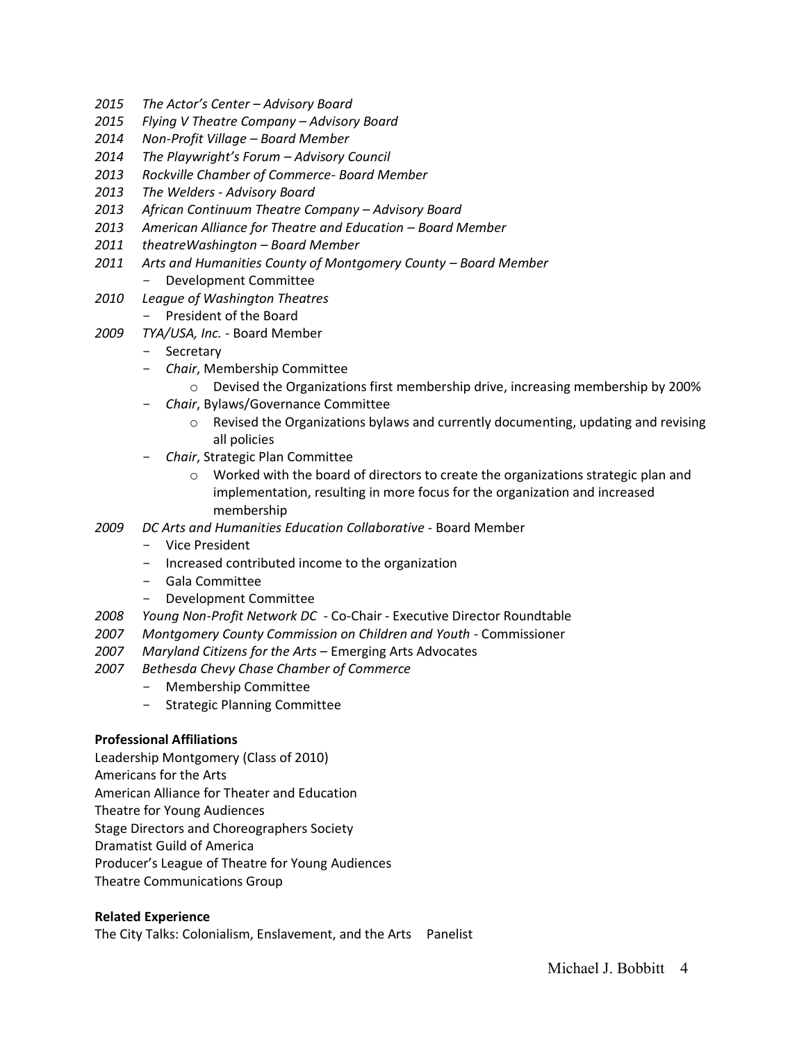- *2015 The Actor's Center – Advisory Board*
- *2015 Flying V Theatre Company – Advisory Board*
- *2014 Non-Profit Village – Board Member*
- *2014 The Playwright's Forum – Advisory Council*
- *2013 Rockville Chamber of Commerce- Board Member*
- *2013 The Welders - Advisory Board*
- *2013 African Continuum Theatre Company – Advisory Board*
- *2013 American Alliance for Theatre and Education – Board Member*
- *2011 theatreWashington – Board Member*
- *2011 Arts and Humanities County of Montgomery County – Board Member* - Development Committee
- *2010 League of Washington Theatres* 
	- President of the Board
- *2009 TYA/USA, Inc. -* Board Member
	- Secretary
	- *Chair*, Membership Committee
		- $\circ$  Devised the Organizations first membership drive, increasing membership by 200%
	- *Chair*, Bylaws/Governance Committee
		- $\circ$  Revised the Organizations bylaws and currently documenting, updating and revising all policies
	- *Chair*, Strategic Plan Committee
		- $\circ$  Worked with the board of directors to create the organizations strategic plan and implementation, resulting in more focus for the organization and increased membership
- *2009 DC Arts and Humanities Education Collaborative* Board Member
	- Vice President
	- Increased contributed income to the organization
	- Gala Committee
	- Development Committee
- *2008 Young Non-Profit Network DC -* Co-Chair Executive Director Roundtable
- *2007 Montgomery County Commission on Children and Youth* Commissioner
- *2007 Maryland Citizens for the Arts* Emerging Arts Advocates
- *2007 Bethesda Chevy Chase Chamber of Commerce*
	- Membership Committee
	- Strategic Planning Committee

### **Professional Affiliations**

Leadership Montgomery (Class of 2010)

Americans for the Arts

American Alliance for Theater and Education

Theatre for Young Audiences

Stage Directors and Choreographers Society

Dramatist Guild of America

Producer's League of Theatre for Young Audiences

Theatre Communications Group

# **Related Experience**

The City Talks: Colonialism, Enslavement, and the Arts Panelist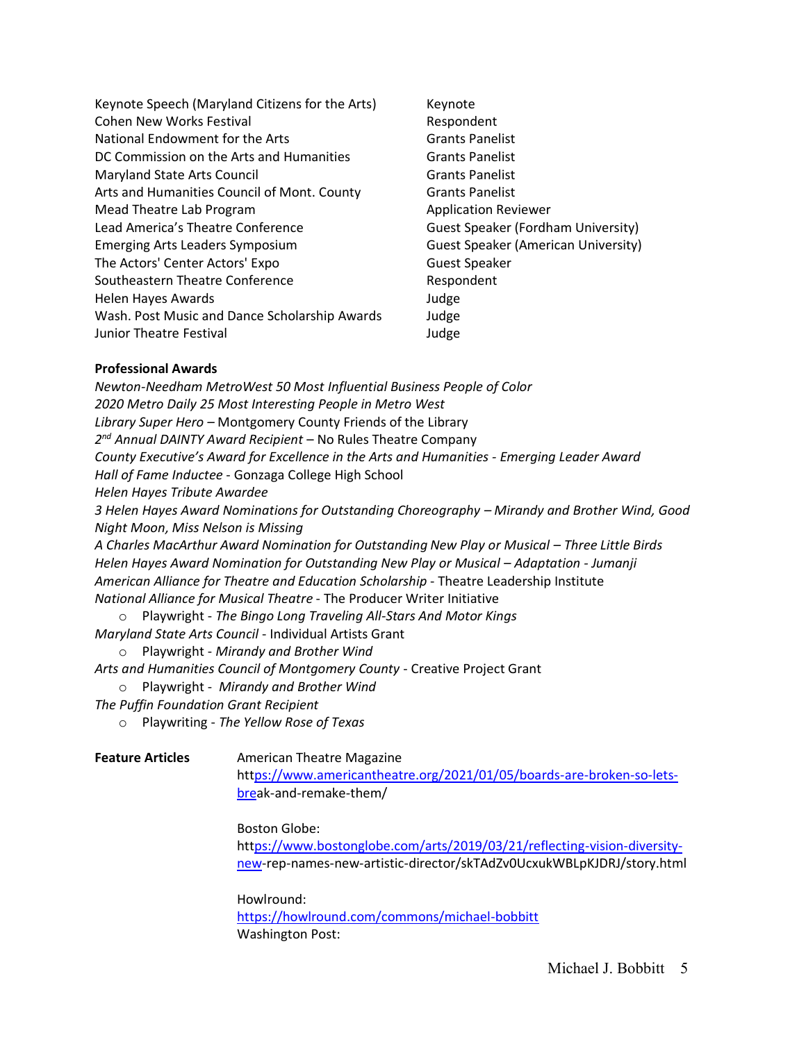| Keynote Speech (Maryland Citizens for the Arts) | Keynote                                    |
|-------------------------------------------------|--------------------------------------------|
| <b>Cohen New Works Festival</b>                 | Respondent                                 |
| National Endowment for the Arts                 | <b>Grants Panelist</b>                     |
| DC Commission on the Arts and Humanities        | <b>Grants Panelist</b>                     |
| Maryland State Arts Council                     | <b>Grants Panelist</b>                     |
| Arts and Humanities Council of Mont. County     | <b>Grants Panelist</b>                     |
| Mead Theatre Lab Program                        | <b>Application Reviewer</b>                |
| Lead America's Theatre Conference               | Guest Speaker (Fordham University)         |
| <b>Emerging Arts Leaders Symposium</b>          | <b>Guest Speaker (American University)</b> |
| The Actors' Center Actors' Expo                 | <b>Guest Speaker</b>                       |
| Southeastern Theatre Conference                 | Respondent                                 |
| Helen Hayes Awards                              | Judge                                      |
| Wash. Post Music and Dance Scholarship Awards   | Judge                                      |
| Junior Theatre Festival                         | Judge                                      |

#### **Professional Awards**

*Newton-Needham MetroWest 50 Most Influential Business People of Color 2020 Metro Daily 25 Most Interesting People in Metro West Library Super Hero –* Montgomery County Friends of the Library *2nd Annual DAINTY Award Recipient* – No Rules Theatre Company *County Executive's Award for Excellence in the Arts and Humanities - Emerging Leader Award Hall of Fame Inductee* - Gonzaga College High School *Helen Hayes Tribute Awardee 3 Helen Hayes Award Nominations for Outstanding Choreography – Mirandy and Brother Wind, Good Night Moon, Miss Nelson is Missing A Charles MacArthur Award Nomination for Outstanding New Play or Musical – Three Little Birds Helen Hayes Award Nomination for Outstanding New Play or Musical – Adaptation - Jumanji American Alliance for Theatre and Education Scholarship* - Theatre Leadership Institute *National Alliance for Musical Theatre* - The Producer Writer Initiative o Playwright - *The Bingo Long Traveling All-Stars And Motor Kings* 

*Maryland State Arts Council* - Individual Artists Grant

o Playwright - *Mirandy and Brother Wind*

*Arts and Humanities Council of Montgomery County* - Creative Project Grant

o Playwright - *Mirandy and Brother Wind*

*The Puffin Foundation Grant Recipient* 

o Playwriting - *The Yellow Rose of Texas*

**Feature Articles American Theatre Magazine** https://www.americantheatre.org/2021/01/05/boards-are-broken-so-letsbreak-and-remake-them/

Boston Globe:

https://www.bostonglobe.com/arts/2019/03/21/reflecting-vision-diversitynew-rep-names-new-artistic-director/skTAdZv0UcxukWBLpKJDRJ/story.html

Howlround: https://howlround.com/commons/michael-bobbitt Washington Post: